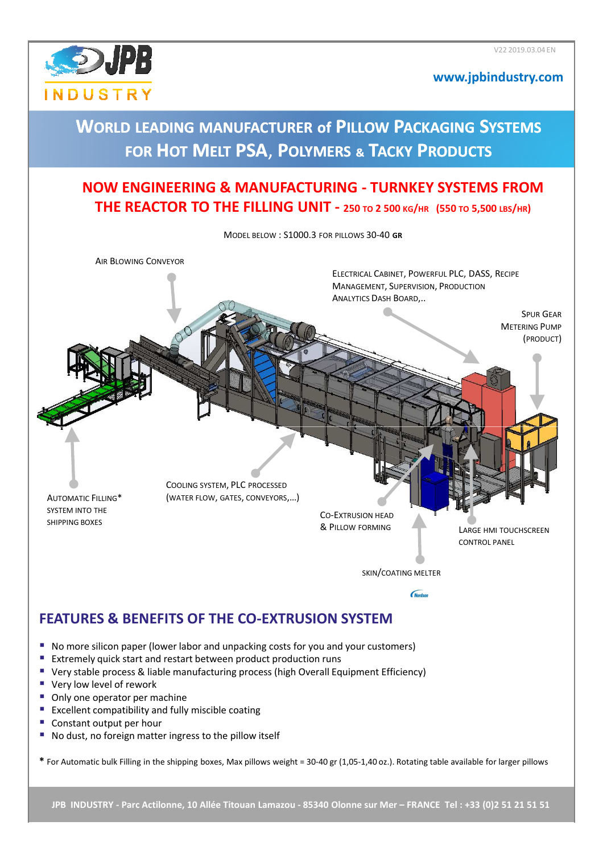

#### **www.jpbindustry.com**

### **WORLD LEADING LEADING MANUFACTURER of PILLOW PACKAGING SYSTEMS FOR HOT MELT PSA**, **POLYMERS & TACKY PRODUCTS**

### **NOW ENGINEERING & MANUFACTURING - TURNKEY SYSTEMS FROM THE REACTOR TO THE FILLING UNIT - <sup>250</sup>TO 2 500 KG/HR (550 TO 5,500 LBS/HR)**

MODEL BELOW : S1000.3 FOR PILLOWS 30-40 **GR** AIR BLOWING CONVEYOR ELECTRICAL CABINET, POWERFUL PLC, DASS, RECIPE MANAGEMENT, SUPERVISION, PRODUCTION ANALYTICS DASH BOARD,.. SPUR GEAR METERING PUMP (PRODUCT) COOLING SYSTEM, PLC PROCESSED (WATER FLOW, GATES, CONVEYORS,…) AUTOMATIC FILLING\* SYSTEM INTO THE CO-EXTRUSION HEAD SHIPPING BOXES & PILLOW FORMING LARGE HMI TOUCHSCREEN CONTROL PANEL SKIN/COATING MELTER**Nordson FEATURES & BENEFITS OF THE CO-EXTRUSION SYSTEM**

- No more silicon paper (lower labor and unpacking costs for you and your customers)
- **Extremely quick start and restart between product production runs**
- Very stable process & liable manufacturing process (high Overall Equipment Efficiency)
- Very low level of rework
- Only one operator per machine
- **Excellent compatibility and fully miscible coating**
- Constant output per hour
- No dust, no foreign matter ingress to the pillow itself

**\*** For Automatic bulk Filling in the shipping boxes, Max pillows weight = 30-40 gr (1,05-1,40 oz.). Rotating table available for larger pillows